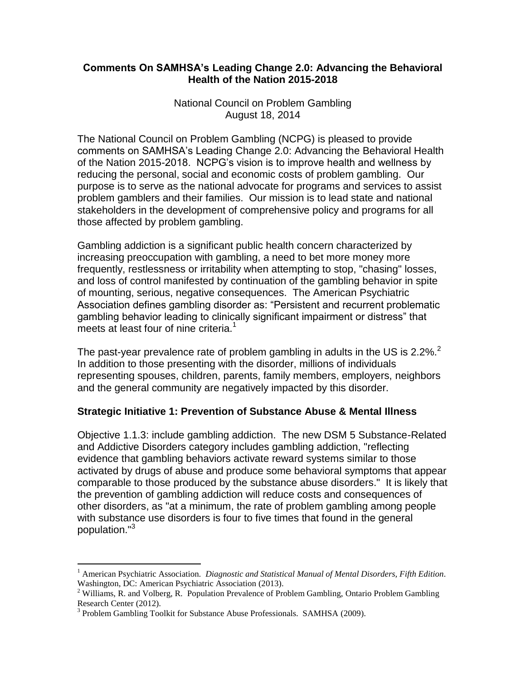### **Comments On SAMHSA's Leading Change 2.0: Advancing the Behavioral Health of the Nation 2015-2018**

National Council on Problem Gambling August 18, 2014

The National Council on Problem Gambling (NCPG) is pleased to provide comments on SAMHSA's Leading Change 2.0: Advancing the Behavioral Health of the Nation 2015-2018. NCPG's vision is to improve health and wellness by reducing the personal, social and economic costs of problem gambling. Our purpose is to serve as the national advocate for programs and services to assist problem gamblers and their families. Our mission is to lead state and national stakeholders in the development of comprehensive policy and programs for all those affected by problem gambling.

Gambling addiction is a significant public health concern characterized by increasing preoccupation with gambling, a need to bet more money more frequently, restlessness or irritability when attempting to stop, "chasing" losses, and loss of control manifested by continuation of the gambling behavior in spite of mounting, serious, negative consequences. The American Psychiatric Association defines gambling disorder as: "Persistent and recurrent problematic gambling behavior leading to clinically significant impairment or distress" that meets at least four of nine criteria. $<sup>1</sup>$ </sup>

The past-year prevalence rate of problem gambling in adults in the US is 2.2%.<sup>2</sup> In addition to those presenting with the disorder, millions of individuals representing spouses, children, parents, family members, employers, neighbors and the general community are negatively impacted by this disorder.

### **Strategic Initiative 1: Prevention of Substance Abuse & Mental Illness**

Objective 1.1.3: include gambling addiction. The new DSM 5 Substance-Related and Addictive Disorders category includes gambling addiction, "reflecting evidence that gambling behaviors activate reward systems similar to those activated by drugs of abuse and produce some behavioral symptoms that appear comparable to those produced by the substance abuse disorders." It is likely that the prevention of gambling addiction will reduce costs and consequences of other disorders, as "at a minimum, the rate of problem gambling among people with substance use disorders is four to five times that found in the general population."<sup>3</sup>

 $\overline{a}$ 

<sup>1</sup> American Psychiatric Association. *Diagnostic and Statistical Manual of Mental Disorders, Fifth Edition.* Washington, DC: American Psychiatric Association (2013).

<sup>&</sup>lt;sup>2</sup> Williams, R. and Volberg, R. Population Prevalence of Problem Gambling, Ontario Problem Gambling Research Center (2012).

<sup>&</sup>lt;sup>3</sup> Problem Gambling Toolkit for Substance Abuse Professionals. SAMHSA (2009).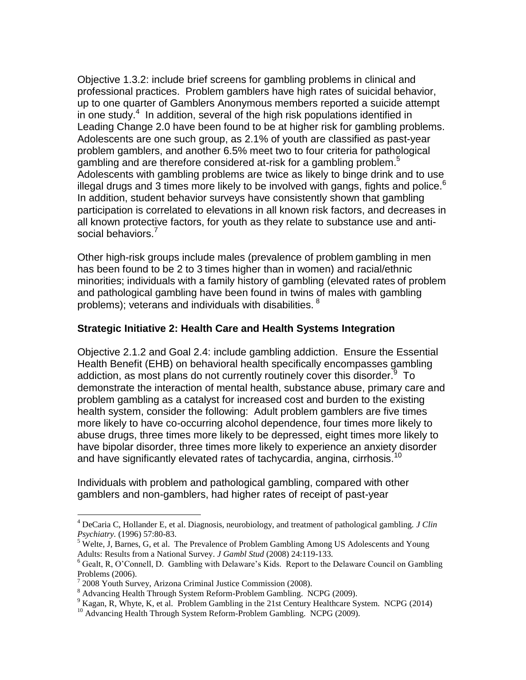Objective 1.3.2: include brief screens for gambling problems in clinical and professional practices. Problem gamblers have high rates of suicidal behavior, up to one quarter of Gamblers Anonymous members reported a suicide attempt in one study. $4$  In addition, several of the high risk populations identified in Leading Change 2.0 have been found to be at higher risk for gambling problems. Adolescents are one such group, as 2.1% of youth are classified as past-year problem gamblers, and another 6.5% meet two to four criteria for pathological .<br>gambling and are therefore considered at-risk for a gambling problem.<sup>5</sup> Adolescents with gambling problems are twice as likely to binge drink and to use illegal drugs and 3 times more likely to be involved with gangs, fights and police.<sup>6</sup> In addition, student behavior surveys have consistently shown that gambling participation is correlated to elevations in all known risk factors, and decreases in all known protective factors, for youth as they relate to substance use and antisocial behaviors.<sup>7</sup>

Other high-risk groups include males (prevalence of problem gambling in men has been found to be 2 to 3 times higher than in women) and racial/ethnic minorities; individuals with a family history of gambling (elevated rates of problem and pathological gambling have been found in twins of males with gambling problems); veterans and individuals with disabilities. <sup>8</sup>

## **Strategic Initiative 2: Health Care and Health Systems Integration**

Objective 2.1.2 and Goal 2.4: include gambling addiction. Ensure the Essential Health Benefit (EHB) on behavioral health specifically encompasses gambling addiction, as most plans do not currently routinely cover this disorder.<sup>9</sup> To demonstrate the interaction of mental health, substance abuse, primary care and problem gambling as a catalyst for increased cost and burden to the existing health system, consider the following: Adult problem gamblers are five times more likely to have co-occurring alcohol dependence, four times more likely to abuse drugs, three times more likely to be depressed, eight times more likely to have bipolar disorder, three times more likely to experience an anxiety disorder and have significantly elevated rates of tachycardia, angina, cirrhosis.<sup>10</sup>

Individuals with problem and pathological gambling, compared with other gamblers and non-gamblers, had higher rates of receipt of past-year

 $\overline{a}$ 

<sup>4</sup> DeCaria C, Hollander E, et al. Diagnosis, neurobiology, and treatment of pathological gambling. *J Clin Psychiatry.* (1996) 57:80-83.

<sup>&</sup>lt;sup>5</sup> Welte, J, Barnes, G, et al. The Prevalence of Problem Gambling Among US Adolescents and Young Adults: Results from a National Survey. *J Gambl Stud* (2008) 24:119-133.

<sup>6</sup> Gealt, R, O'Connell, D. Gambling with Delaware's Kids. Report to the Delaware Council on Gambling Problems (2006).

<sup>&</sup>lt;sup>7</sup> 2008 Youth Survey, Arizona Criminal Justice Commission (2008).

<sup>8</sup> Advancing Health Through System Reform-Problem Gambling. NCPG (2009).

<sup>&</sup>lt;sup>9</sup> Kagan, R, Whyte, K, et al. Problem Gambling in the 21st Century Healthcare System. NCPG (2014)

<sup>&</sup>lt;sup>10</sup> Advancing Health Through System Reform-Problem Gambling. NCPG (2009).